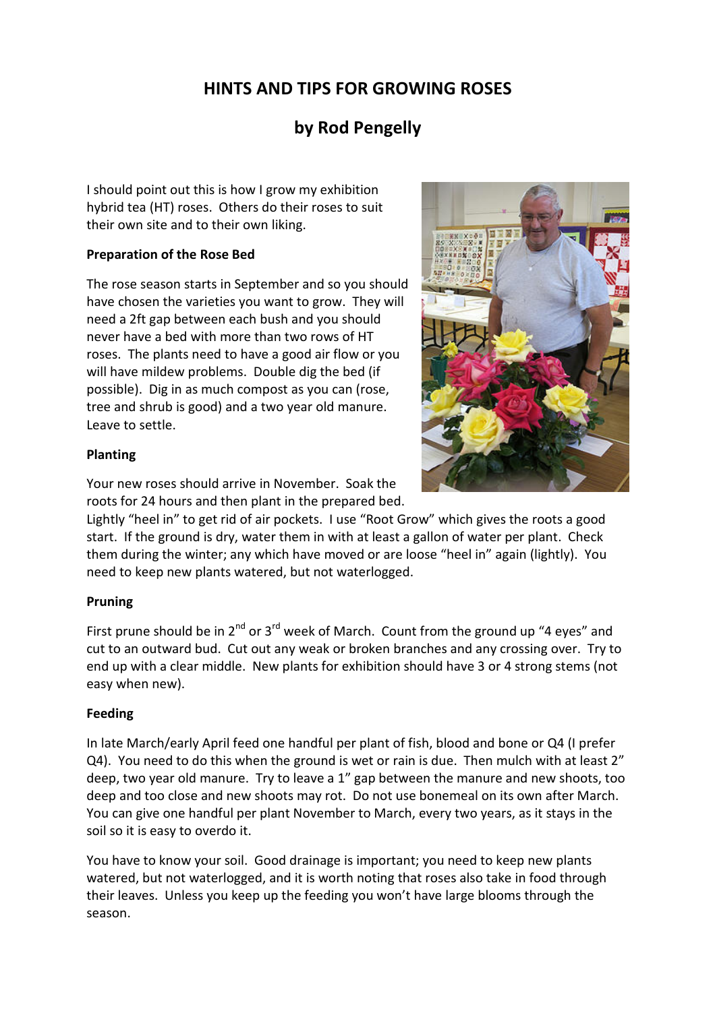# HINTS AND TIPS FOR GROWING ROSES

## by Rod Pengelly

I should point out this is how I grow my exhibition hybrid tea (HT) roses. Others do their roses to suit their own site and to their own liking.

## Preparation of the Rose Bed

The rose season starts in September and so you should have chosen the varieties you want to grow. They will need a 2ft gap between each bush and you should never have a bed with more than two rows of HT roses. The plants need to have a good air flow or you will have mildew problems. Double dig the bed (if possible). Dig in as much compost as you can (rose, tree and shrub is good) and a two year old manure. Leave to settle.

## Planting

Your new roses should arrive in November. Soak the roots for 24 hours and then plant in the prepared bed.

Lightly "heel in" to get rid of air pockets. I use "Root Grow" which gives the roots a good start. If the ground is dry, water them in with at least a gallon of water per plant. Check them during the winter; any which have moved or are loose "heel in" again (lightly). You need to keep new plants watered, but not waterlogged.

## Pruning

First prune should be in  $2^{nd}$  or  $3^{rd}$  week of March. Count from the ground up "4 eyes" and cut to an outward bud. Cut out any weak or broken branches and any crossing over. Try to end up with a clear middle. New plants for exhibition should have 3 or 4 strong stems (not easy when new).

## Feeding

In late March/early April feed one handful per plant of fish, blood and bone or Q4 (I prefer Q4). You need to do this when the ground is wet or rain is due. Then mulch with at least 2" deep, two year old manure. Try to leave a 1" gap between the manure and new shoots, too deep and too close and new shoots may rot. Do not use bonemeal on its own after March. You can give one handful per plant November to March, every two years, as it stays in the soil so it is easy to overdo it.

You have to know your soil. Good drainage is important; you need to keep new plants watered, but not waterlogged, and it is worth noting that roses also take in food through their leaves. Unless you keep up the feeding you won't have large blooms through the season.

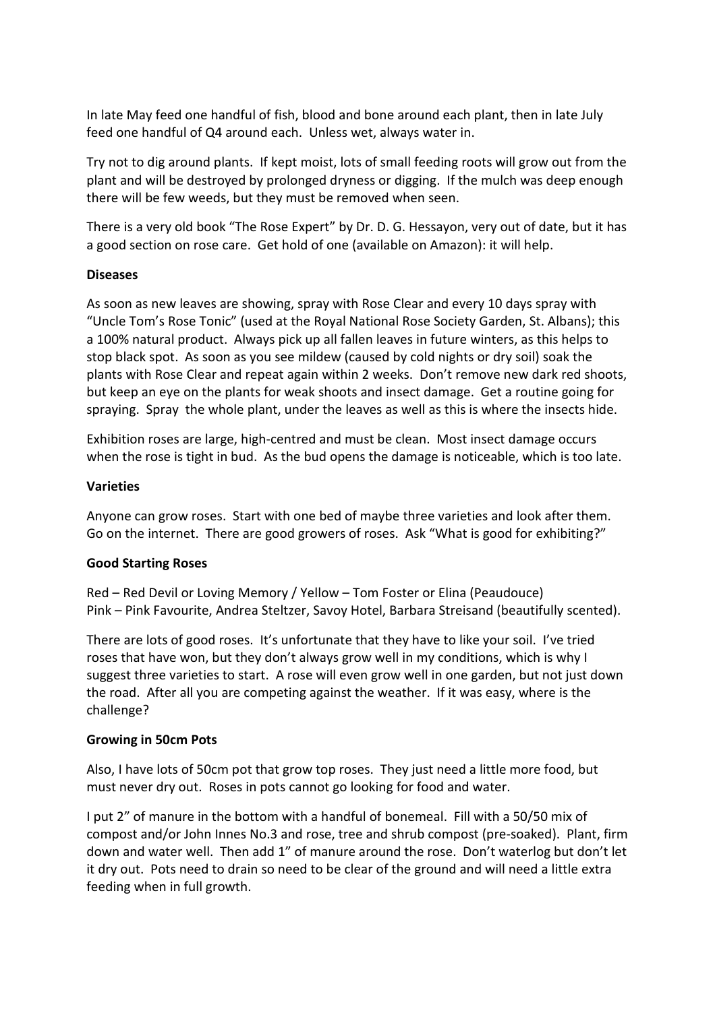In late May feed one handful of fish, blood and bone around each plant, then in late July feed one handful of Q4 around each. Unless wet, always water in.

Try not to dig around plants. If kept moist, lots of small feeding roots will grow out from the plant and will be destroyed by prolonged dryness or digging. If the mulch was deep enough there will be few weeds, but they must be removed when seen.

There is a very old book "The Rose Expert" by Dr. D. G. Hessayon, very out of date, but it has a good section on rose care. Get hold of one (available on Amazon): it will help.

### Diseases

As soon as new leaves are showing, spray with Rose Clear and every 10 days spray with "Uncle Tom's Rose Tonic" (used at the Royal National Rose Society Garden, St. Albans); this a 100% natural product. Always pick up all fallen leaves in future winters, as this helps to stop black spot. As soon as you see mildew (caused by cold nights or dry soil) soak the plants with Rose Clear and repeat again within 2 weeks. Don't remove new dark red shoots, but keep an eye on the plants for weak shoots and insect damage. Get a routine going for spraying. Spray the whole plant, under the leaves as well as this is where the insects hide.

Exhibition roses are large, high-centred and must be clean. Most insect damage occurs when the rose is tight in bud. As the bud opens the damage is noticeable, which is too late.

### **Varieties**

Anyone can grow roses. Start with one bed of maybe three varieties and look after them. Go on the internet. There are good growers of roses. Ask "What is good for exhibiting?"

### Good Starting Roses

Red – Red Devil or Loving Memory / Yellow – Tom Foster or Elina (Peaudouce) Pink – Pink Favourite, Andrea Steltzer, Savoy Hotel, Barbara Streisand (beautifully scented).

There are lots of good roses. It's unfortunate that they have to like your soil. I've tried roses that have won, but they don't always grow well in my conditions, which is why I suggest three varieties to start. A rose will even grow well in one garden, but not just down the road. After all you are competing against the weather. If it was easy, where is the challenge?

### Growing in 50cm Pots

Also, I have lots of 50cm pot that grow top roses. They just need a little more food, but must never dry out. Roses in pots cannot go looking for food and water.

I put 2" of manure in the bottom with a handful of bonemeal. Fill with a 50/50 mix of compost and/or John Innes No.3 and rose, tree and shrub compost (pre-soaked). Plant, firm down and water well. Then add 1" of manure around the rose. Don't waterlog but don't let it dry out. Pots need to drain so need to be clear of the ground and will need a little extra feeding when in full growth.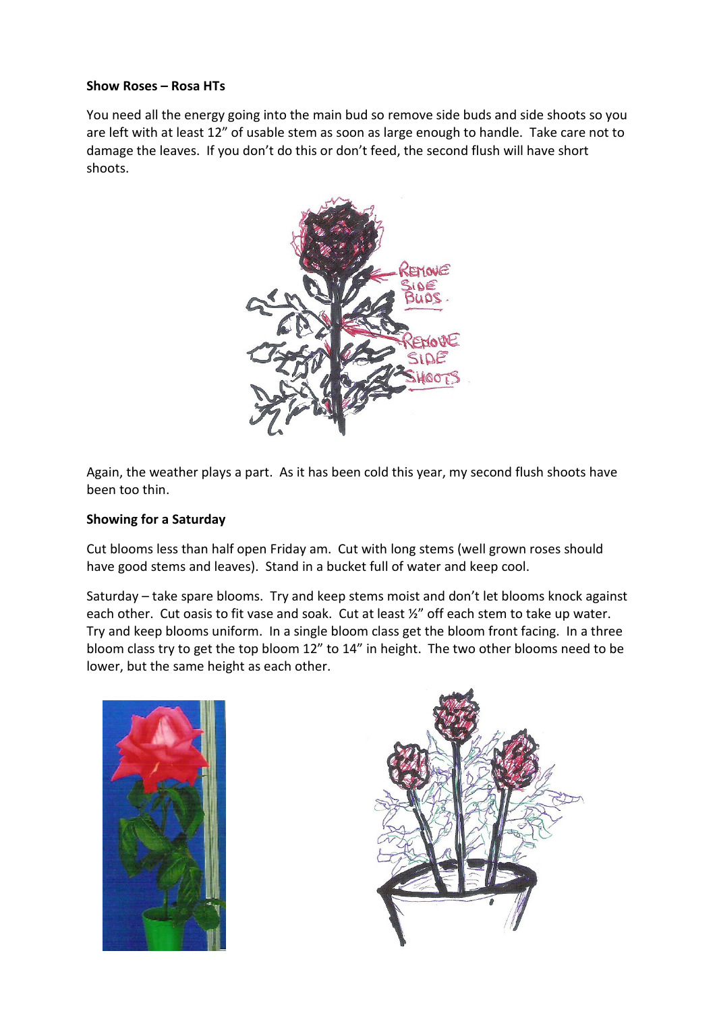#### Show Roses – Rosa HTs

You need all the energy going into the main bud so remove side buds and side shoots so you are left with at least 12" of usable stem as soon as large enough to handle. Take care not to damage the leaves. If you don't do this or don't feed, the second flush will have short shoots.



Again, the weather plays a part. As it has been cold this year, my second flush shoots have been too thin.

### Showing for a Saturday

Cut blooms less than half open Friday am. Cut with long stems (well grown roses should have good stems and leaves). Stand in a bucket full of water and keep cool.

Saturday – take spare blooms. Try and keep stems moist and don't let blooms knock against each other. Cut oasis to fit vase and soak. Cut at least ½" off each stem to take up water. Try and keep blooms uniform. In a single bloom class get the bloom front facing. In a three bloom class try to get the top bloom 12" to 14" in height. The two other blooms need to be lower, but the same height as each other.